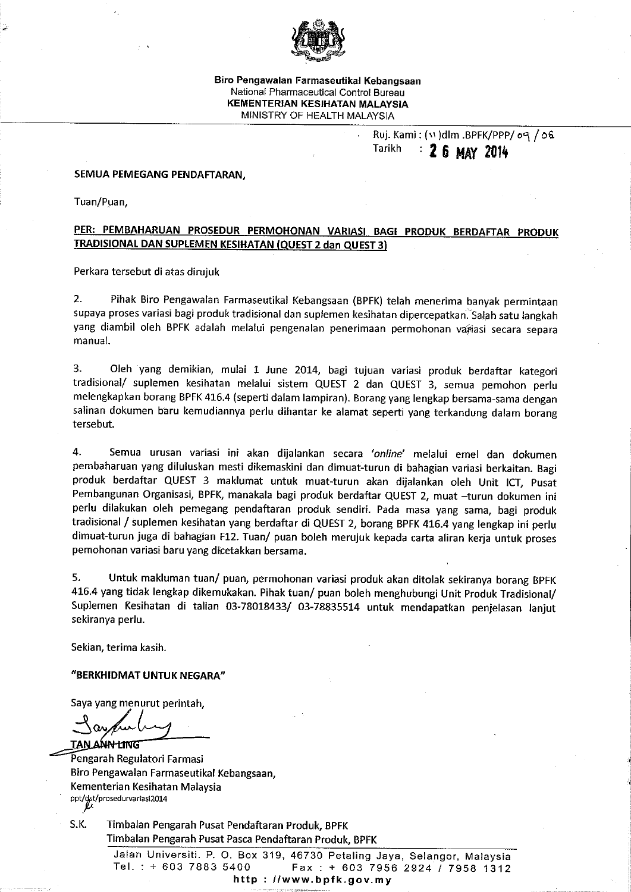

Biro Pengawalan Farmaseutikal Kebangsaan National Pharmaceutical Control Bureau KEMENTERIAN KESIHATAN MALAYSIA MINISTRY OF HEALTH MALAYSIA

|        |  | Ruj. Kami: (11) dlm .BPFK/PPP/ 09 / 06 |  |
|--------|--|----------------------------------------|--|
| Tarikh |  | $\frac{1}{2}$ 6 MAY 2014               |  |

#### SEMUA PEMEGANG PENDAFTARAN,

Tuan/Puan,

### PER: PEMBAHARUAN PROSEDUR PERMOHONAN VARIASI BAGI PRODUK BERDAFTAR PRODUK TRADISIONAL DAN SUPLEMEN KESIHATAN (QUEST 2 dan QUEST 3)

Perkara tersebut di atas dirujuk

 $2.$ Pihak Biro Pengawalan Farmaseutikal Kebangsaan (BPFK) telah menerima banyak permintaan supaya proses variasi bagi produk tradisional dan suplemen kesihatan dipercepatkan. Salah satu langkah yang diambil oleh BPFK adalah melalui pengenalan penerimaan permohonan variasi secara separa manual.

Oleh yang demikian, mulai 1 June 2014, bagi tujuan variasi produk berdaftar kategori 3. tradisional/ suplemen kesihatan melalui sistem QUEST 2 dan QUEST 3, semua pemohon perlu melengkapkan borang BPFK 416.4 (seperti dalam lampiran). Borang yang lengkap bersama-sama dengan salinan dokumen baru kemudiannya perlu dihantar ke alamat seperti yang terkandung dalam borang tersebut.

4. Semua urusan variasi ini akan dijalankan secara 'online' melalui emel dan dokumen pembaharuan yang diluluskan mesti dikemaskini dan dimuat-turun di bahagian variasi berkaitan. Bagi produk berdaftar QUEST 3 maklumat untuk muat-turun akan dijalankan oleh Unit ICT, Pusat Pembangunan Organisasi, BPFK, manakala bagi produk berdaftar QUEST 2, muat -turun dokumen ini perlu dilakukan oleh pemegang pendaftaran produk sendiri. Pada masa yang sama, bagi produk tradisional / suplemen kesihatan yang berdaftar di QUEST 2, borang BPFK 416.4 yang lengkap ini perlu dimuat-turun juga di bahagian F12. Tuan/ puan boleh merujuk kepada carta aliran kerja untuk proses pemohonan variasi baru yang dicetakkan bersama.

5. Untuk makluman tuan/ puan, permohonan variasi produk akan ditolak sekiranya borang BPFK 416.4 yang tidak lengkap dikemukakan. Pihak tuan/ puan boleh menghubungi Unit Produk Tradisional/ Suplemen Kesihatan di talian 03-78018433/ 03-78835514 untuk mendapatkan penjelasan lanjut sekiranya perlu.

Sekian, terima kasih.

## "BERKHIDMAT UNTUK NEGARA"

Saya yang menurut perintah,

mn-ling

Pengarah Regulatori Farmasi Biro Pengawalan Farmaseutikal Kebangsaan, Kementerian Kesihatan Malaysia ppt/dst/prosedurvariasi2014

S.K. Timbalan Pengarah Pusat Pendaftaran Produk, BPFK Timbalan Pengarah Pusat Pasca Pendaftaran Produk, BPFK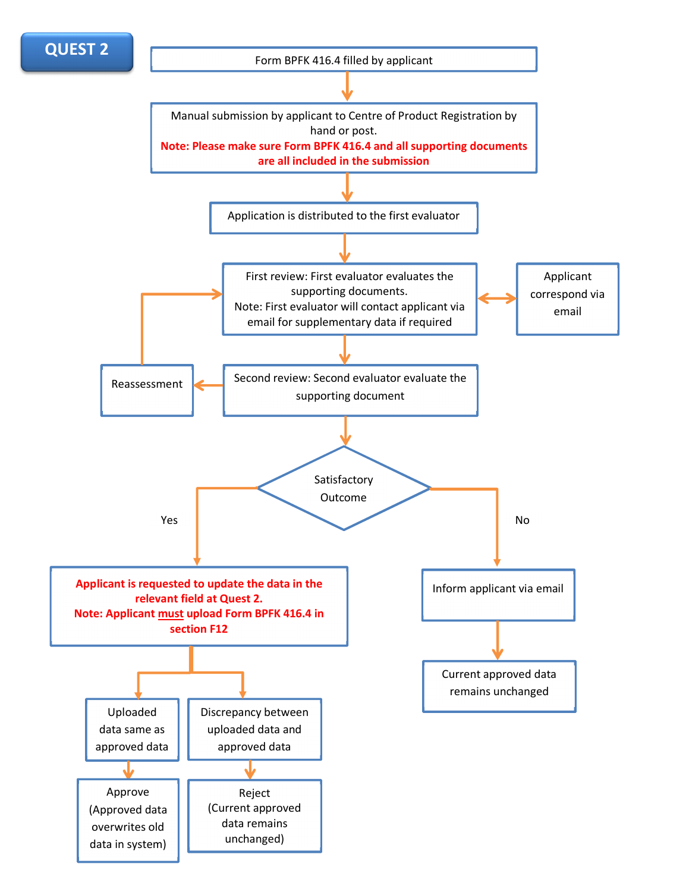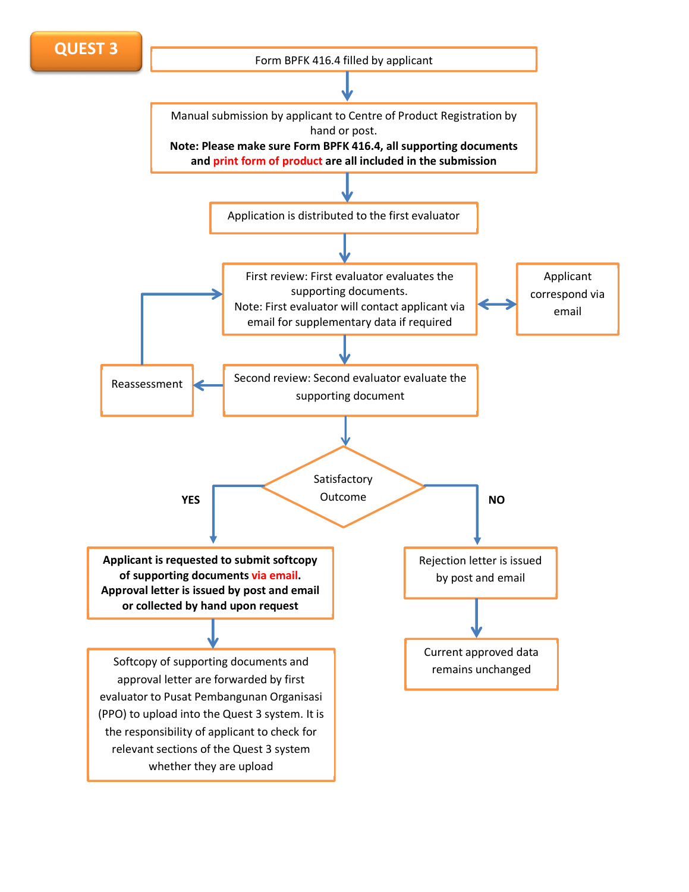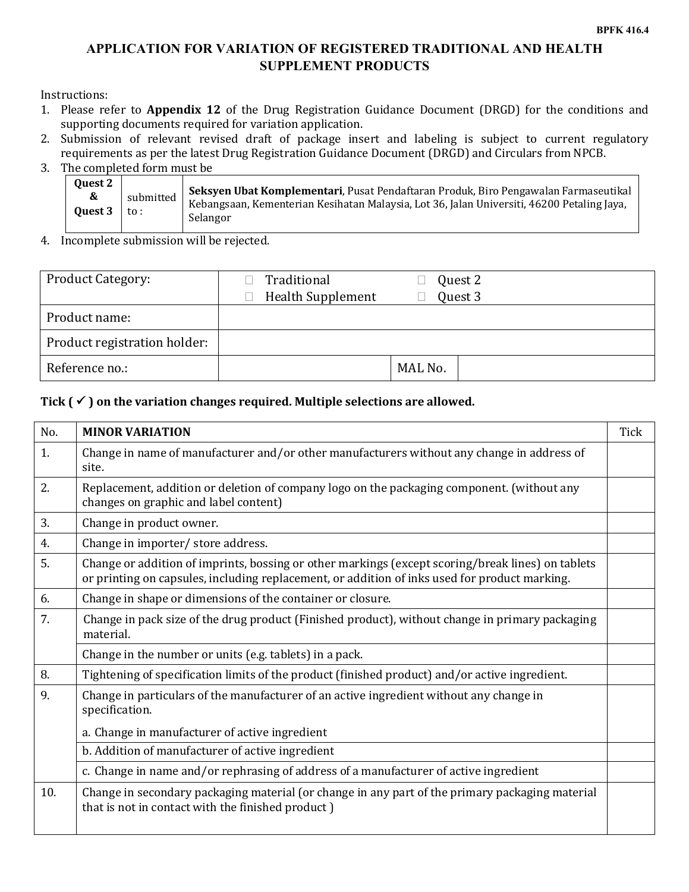# APPLICATION FOR VARIATION OF REGISTERED TRADITIONAL AND HEALTH SUPPLEMENT PRODUCTS

Instructions:

- 1. Please refer to Appendix 12 of the Drug Registration Guidance Document (DRGD) for the conditions and supporting documents required for variation application.
- 2. Submission of relevant revised draft of package insert and labeling is subject to current regulatory requirements as per the latest Drug Registration Guidance Document (DRGD) and Circulars from NPCB.
- 3. The completed form must be

| Ouest 2<br>Ouest 3 | submitted<br>to : | Seksyen Ubat Komplementari, Pusat Pendaftaran Produk, Biro Pengawalan Farmaseutikal<br>Kebangsaan, Kementerian Kesihatan Malaysia, Lot 36, Jalan Universiti, 46200 Petaling Jaya,<br>Selangor |
|--------------------|-------------------|-----------------------------------------------------------------------------------------------------------------------------------------------------------------------------------------------|
|--------------------|-------------------|-----------------------------------------------------------------------------------------------------------------------------------------------------------------------------------------------|

4. Incomplete submission will be rejected.

| <b>Product Category:</b>     | Traditional              | Quest 2 |
|------------------------------|--------------------------|---------|
|                              | <b>Health Supplement</b> | Quest 3 |
| Product name:                |                          |         |
| Product registration holder: |                          |         |
| Reference no.:               |                          | MAL No. |

#### Tick  $(\checkmark)$  on the variation changes required. Multiple selections are allowed.

| No. | <b>MINOR VARIATION</b>                                                                                                                                                                             | <b>Tick</b> |  |  |
|-----|----------------------------------------------------------------------------------------------------------------------------------------------------------------------------------------------------|-------------|--|--|
| 1.  | Change in name of manufacturer and/or other manufacturers without any change in address of<br>site.                                                                                                |             |  |  |
| 2.  | Replacement, addition or deletion of company logo on the packaging component. (without any<br>changes on graphic and label content)                                                                |             |  |  |
| 3.  | Change in product owner.                                                                                                                                                                           |             |  |  |
| 4.  | Change in importer/ store address.                                                                                                                                                                 |             |  |  |
| 5.  | Change or addition of imprints, bossing or other markings (except scoring/break lines) on tablets<br>or printing on capsules, including replacement, or addition of inks used for product marking. |             |  |  |
| 6.  | Change in shape or dimensions of the container or closure.                                                                                                                                         |             |  |  |
| 7.  | Change in pack size of the drug product (Finished product), without change in primary packaging<br>material.                                                                                       |             |  |  |
|     | Change in the number or units (e.g. tablets) in a pack.                                                                                                                                            |             |  |  |
| 8.  | Tightening of specification limits of the product (finished product) and/or active ingredient.                                                                                                     |             |  |  |
| 9.  | Change in particulars of the manufacturer of an active ingredient without any change in<br>specification.                                                                                          |             |  |  |
|     | a. Change in manufacturer of active ingredient                                                                                                                                                     |             |  |  |
|     | b. Addition of manufacturer of active ingredient                                                                                                                                                   |             |  |  |
|     | c. Change in name and/or rephrasing of address of a manufacturer of active ingredient                                                                                                              |             |  |  |
| 10. | Change in secondary packaging material (or change in any part of the primary packaging material<br>that is not in contact with the finished product)                                               |             |  |  |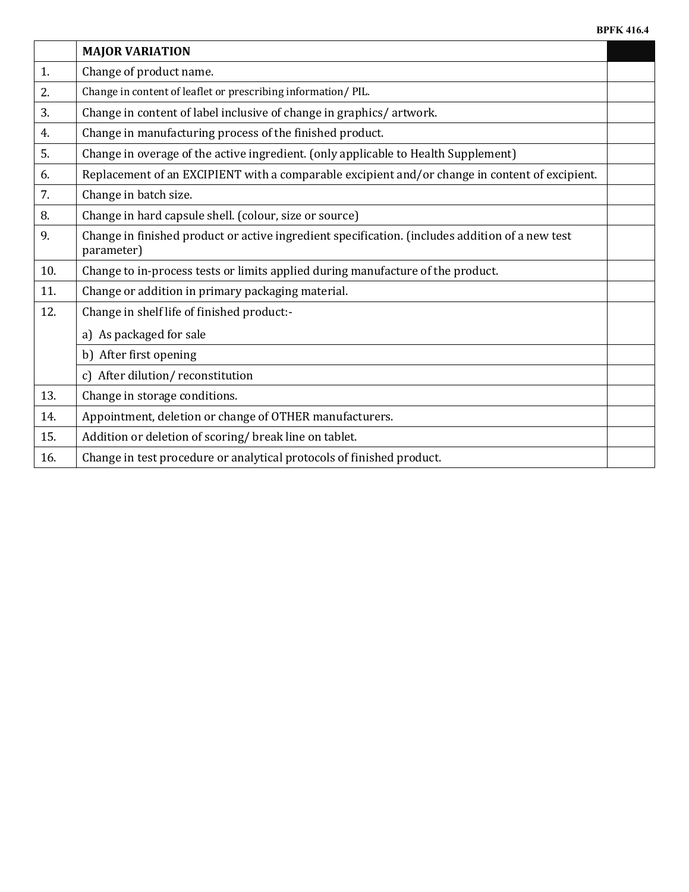|     | <b>MAJOR VARIATION</b>                                                                                        |  |  |  |  |
|-----|---------------------------------------------------------------------------------------------------------------|--|--|--|--|
| 1.  | Change of product name.                                                                                       |  |  |  |  |
| 2.  | Change in content of leaflet or prescribing information/PIL.                                                  |  |  |  |  |
| 3.  | Change in content of label inclusive of change in graphics/artwork.                                           |  |  |  |  |
| 4.  | Change in manufacturing process of the finished product.                                                      |  |  |  |  |
| 5.  | Change in overage of the active ingredient. (only applicable to Health Supplement)                            |  |  |  |  |
| 6.  | Replacement of an EXCIPIENT with a comparable excipient and/or change in content of excipient.                |  |  |  |  |
| 7.  | Change in batch size.                                                                                         |  |  |  |  |
| 8.  | Change in hard capsule shell. (colour, size or source)                                                        |  |  |  |  |
| 9.  | Change in finished product or active ingredient specification. (includes addition of a new test<br>parameter) |  |  |  |  |
| 10. | Change to in-process tests or limits applied during manufacture of the product.                               |  |  |  |  |
| 11. | Change or addition in primary packaging material.                                                             |  |  |  |  |
| 12. | Change in shelf life of finished product:-                                                                    |  |  |  |  |
|     | a) As packaged for sale                                                                                       |  |  |  |  |
|     | b) After first opening                                                                                        |  |  |  |  |
|     | c) After dilution/reconstitution                                                                              |  |  |  |  |
| 13. | Change in storage conditions.                                                                                 |  |  |  |  |
| 14. | Appointment, deletion or change of OTHER manufacturers.                                                       |  |  |  |  |
| 15. | Addition or deletion of scoring/ break line on tablet.                                                        |  |  |  |  |
| 16. | Change in test procedure or analytical protocols of finished product.                                         |  |  |  |  |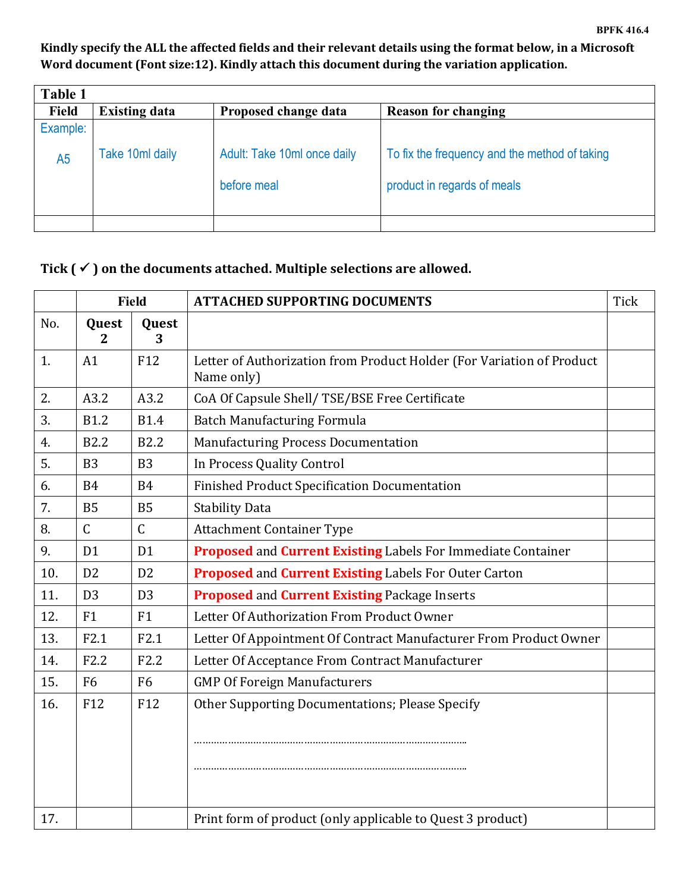# Kindly specify the ALL the affected fields and their relevant details using the format below, in a Microsoft Word document (Font size:12). Kindly attach this document during the variation application.

| <b>Table 1</b> |                      |                             |                                               |
|----------------|----------------------|-----------------------------|-----------------------------------------------|
| <b>Field</b>   | <b>Existing data</b> | Proposed change data        | <b>Reason for changing</b>                    |
| Example:       |                      |                             |                                               |
| A <sub>5</sub> | Take 10ml daily      | Adult: Take 10ml once daily | To fix the frequency and the method of taking |
|                |                      | before meal                 | product in regards of meals                   |
|                |                      |                             |                                               |
|                |                      |                             |                                               |

# Tick  $(\checkmark)$  on the documents attached. Multiple selections are allowed.

|     | <b>Field</b>            |                | <b>ATTACHED SUPPORTING DOCUMENTS</b>                                                | Tick |
|-----|-------------------------|----------------|-------------------------------------------------------------------------------------|------|
| No. | Quest<br>$\overline{2}$ | Quest<br>3     |                                                                                     |      |
| 1.  | A1                      | F12            | Letter of Authorization from Product Holder (For Variation of Product<br>Name only) |      |
| 2.  | A3.2                    | A3.2           | CoA Of Capsule Shell/TSE/BSE Free Certificate                                       |      |
| 3.  | <b>B1.2</b>             | <b>B1.4</b>    | <b>Batch Manufacturing Formula</b>                                                  |      |
| 4.  | <b>B2.2</b>             | <b>B2.2</b>    | <b>Manufacturing Process Documentation</b>                                          |      |
| 5.  | B <sub>3</sub>          | <b>B3</b>      | In Process Quality Control                                                          |      |
| 6.  | <b>B4</b>               | <b>B4</b>      | <b>Finished Product Specification Documentation</b>                                 |      |
| 7.  | <b>B5</b>               | <b>B5</b>      | <b>Stability Data</b>                                                               |      |
| 8.  | $\mathsf C$             | $\mathsf{C}$   | <b>Attachment Container Type</b>                                                    |      |
| 9.  | D <sub>1</sub>          | D <sub>1</sub> | Proposed and Current Existing Labels For Immediate Container                        |      |
| 10. | D <sub>2</sub>          | D <sub>2</sub> | Proposed and Current Existing Labels For Outer Carton                               |      |
| 11. | D <sub>3</sub>          | D <sub>3</sub> | <b>Proposed and Current Existing Package Inserts</b>                                |      |
| 12. | F1                      | F1             | Letter Of Authorization From Product Owner                                          |      |
| 13. | F2.1                    | F2.1           | Letter Of Appointment Of Contract Manufacturer From Product Owner                   |      |
| 14. | F2.2                    | F2.2           | Letter Of Acceptance From Contract Manufacturer                                     |      |
| 15. | F <sub>6</sub>          | F <sub>6</sub> | <b>GMP Of Foreign Manufacturers</b>                                                 |      |
| 16. | F12                     | F12            | Other Supporting Documentations; Please Specify                                     |      |
|     |                         |                |                                                                                     |      |
|     |                         |                |                                                                                     |      |
| 17. |                         |                | Print form of product (only applicable to Quest 3 product)                          |      |